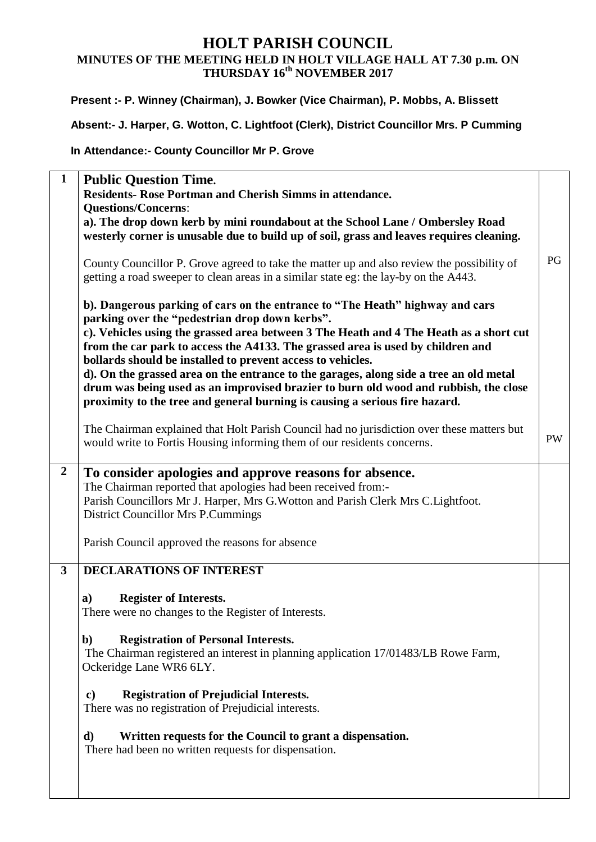## **HOLT PARISH COUNCIL MINUTES OF THE MEETING HELD IN HOLT VILLAGE HALL AT 7.30 p.m. ON THURSDAY 16th NOVEMBER 2017**

### **Present :- P. Winney (Chairman), J. Bowker (Vice Chairman), P. Mobbs, A. Blissett**

**Absent:- J. Harper, G. Wotton, C. Lightfoot (Clerk), District Councillor Mrs. P Cumming**

### **In Attendance:- County Councillor Mr P. Grove**

| $\mathbf{1}$            | <b>Public Question Time.</b>                                                                                                                                                                                                                                                                                                                                                                                                                                                                                                                                                                                                                 |           |
|-------------------------|----------------------------------------------------------------------------------------------------------------------------------------------------------------------------------------------------------------------------------------------------------------------------------------------------------------------------------------------------------------------------------------------------------------------------------------------------------------------------------------------------------------------------------------------------------------------------------------------------------------------------------------------|-----------|
|                         | Residents- Rose Portman and Cherish Simms in attendance.                                                                                                                                                                                                                                                                                                                                                                                                                                                                                                                                                                                     |           |
|                         | <b>Questions/Concerns:</b>                                                                                                                                                                                                                                                                                                                                                                                                                                                                                                                                                                                                                   |           |
|                         | a). The drop down kerb by mini roundabout at the School Lane / Ombersley Road                                                                                                                                                                                                                                                                                                                                                                                                                                                                                                                                                                |           |
|                         | westerly corner is unusable due to build up of soil, grass and leaves requires cleaning.                                                                                                                                                                                                                                                                                                                                                                                                                                                                                                                                                     |           |
|                         | County Councillor P. Grove agreed to take the matter up and also review the possibility of<br>getting a road sweeper to clean areas in a similar state eg: the lay-by on the A443.                                                                                                                                                                                                                                                                                                                                                                                                                                                           | PG        |
|                         | b). Dangerous parking of cars on the entrance to "The Heath" highway and cars<br>parking over the "pedestrian drop down kerbs".<br>c). Vehicles using the grassed area between 3 The Heath and 4 The Heath as a short cut<br>from the car park to access the A4133. The grassed area is used by children and<br>bollards should be installed to prevent access to vehicles.<br>d). On the grassed area on the entrance to the garages, along side a tree an old metal<br>drum was being used as an improvised brazier to burn old wood and rubbish, the close<br>proximity to the tree and general burning is causing a serious fire hazard. |           |
|                         | The Chairman explained that Holt Parish Council had no jurisdiction over these matters but<br>would write to Fortis Housing informing them of our residents concerns.                                                                                                                                                                                                                                                                                                                                                                                                                                                                        | <b>PW</b> |
| $\overline{2}$          | To consider apologies and approve reasons for absence.<br>The Chairman reported that apologies had been received from:-<br>Parish Councillors Mr J. Harper, Mrs G. Wotton and Parish Clerk Mrs C. Lightfoot.<br><b>District Councillor Mrs P.Cummings</b><br>Parish Council approved the reasons for absence                                                                                                                                                                                                                                                                                                                                 |           |
| $\overline{\mathbf{3}}$ | <b>DECLARATIONS OF INTEREST</b>                                                                                                                                                                                                                                                                                                                                                                                                                                                                                                                                                                                                              |           |
|                         | <b>Register of Interests.</b><br>a)<br>There were no changes to the Register of Interests.<br><b>Registration of Personal Interests.</b><br>b)<br>The Chairman registered an interest in planning application 17/01483/LB Rowe Farm,<br>Ockeridge Lane WR6 6LY.<br><b>Registration of Prejudicial Interests.</b><br>$\mathbf{c})$<br>There was no registration of Prejudicial interests.<br>Written requests for the Council to grant a dispensation.<br>d)<br>There had been no written requests for dispensation.                                                                                                                          |           |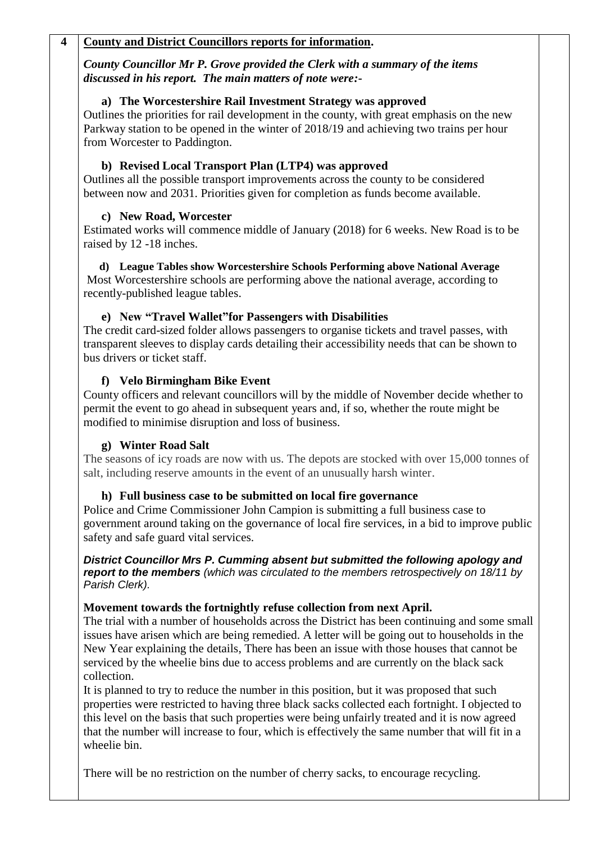### **4 County and District Councillors reports for information.**

*County Councillor Mr P. Grove provided the Clerk with a summary of the items discussed in his report. The main matters of note were:-*

#### **a) The Worcestershire Rail Investment Strategy was approved**

Outlines the priorities for rail development in the county, with great emphasis on the new Parkway station to be opened in the winter of 2018/19 and achieving two trains per hour from Worcester to Paddington.

### **b) Revised Local Transport Plan (LTP4) was approved**

Outlines all the possible transport improvements across the county to be considered between now and 2031. Priorities given for completion as funds become available.

### **c) New Road, Worcester**

Estimated works will commence middle of January (2018) for 6 weeks. New Road is to be raised by 12 -18 inches.

**d) League Tables show Worcestershire Schools Performing above National Average** Most Worcestershire schools are performing above the national average, according to recently-published league tables.

### **e) New "Travel Wallet"for Passengers with Disabilities**

The credit card-sized folder allows passengers to organise tickets and travel passes, with transparent sleeves to display cards detailing their accessibility needs that can be shown to bus drivers or ticket staff.

### **f) Velo Birmingham Bike Event**

County officers and relevant councillors will by the middle of November decide whether to permit the event to go ahead in subsequent years and, if so, whether the route might be modified to minimise disruption and loss of business.

### **g) Winter Road Salt**

The seasons of icy roads are now with us. The depots are stocked with over 15,000 tonnes of salt, including reserve amounts in the event of an unusually harsh winter.

### **h) Full business case to be submitted on local fire governance**

Police and Crime Commissioner John Campion is submitting a full business case to government around taking on the governance of local fire services, in a bid to improve public safety and safe guard vital services.

*District Councillor Mrs P. Cumming absent but submitted the following apology and report to the members (which was circulated to the members retrospectively on 18/11 by Parish Clerk).*

#### **Movement towards the fortnightly refuse collection from next April.**

The trial with a number of households across the District has been continuing and some small issues have arisen which are being remedied. A letter will be going out to households in the New Year explaining the details, There has been an issue with those houses that cannot be serviced by the wheelie bins due to access problems and are currently on the black sack collection.

It is planned to try to reduce the number in this position, but it was proposed that such properties were restricted to having three black sacks collected each fortnight. I objected to this level on the basis that such properties were being unfairly treated and it is now agreed that the number will increase to four, which is effectively the same number that will fit in a wheelie bin.

There will be no restriction on the number of cherry sacks, to encourage recycling.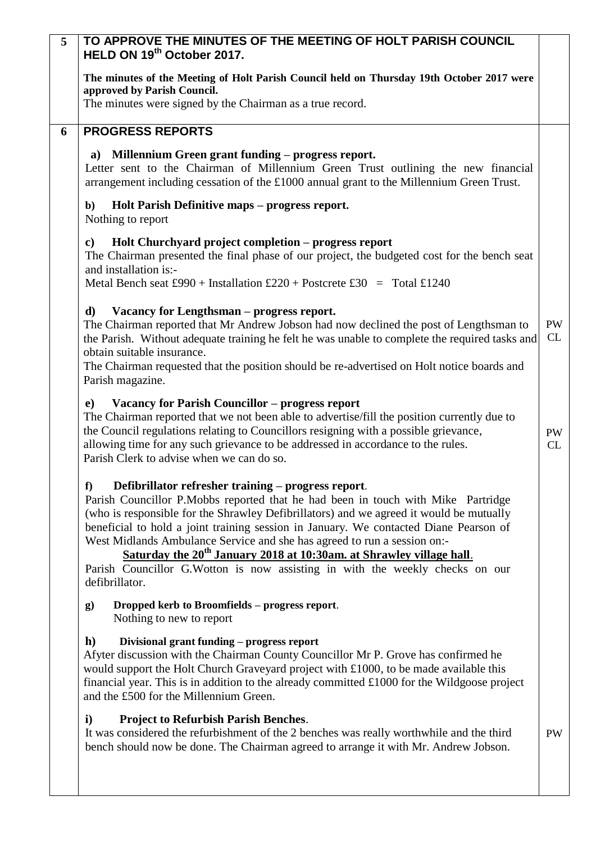| 5 <sup>5</sup> | TO APPROVE THE MINUTES OF THE MEETING OF HOLT PARISH COUNCIL<br>HELD ON 19th October 2017.                                                                                                                                                                                                                                                                                                                                                                                                                                                                                                          |                 |
|----------------|-----------------------------------------------------------------------------------------------------------------------------------------------------------------------------------------------------------------------------------------------------------------------------------------------------------------------------------------------------------------------------------------------------------------------------------------------------------------------------------------------------------------------------------------------------------------------------------------------------|-----------------|
|                | The minutes of the Meeting of Holt Parish Council held on Thursday 19th October 2017 were<br>approved by Parish Council.                                                                                                                                                                                                                                                                                                                                                                                                                                                                            |                 |
|                | The minutes were signed by the Chairman as a true record.                                                                                                                                                                                                                                                                                                                                                                                                                                                                                                                                           |                 |
| 6              | <b>PROGRESS REPORTS</b>                                                                                                                                                                                                                                                                                                                                                                                                                                                                                                                                                                             |                 |
|                | Millennium Green grant funding – progress report.<br>a)<br>Letter sent to the Chairman of Millennium Green Trust outlining the new financial<br>arrangement including cessation of the £1000 annual grant to the Millennium Green Trust.                                                                                                                                                                                                                                                                                                                                                            |                 |
|                | Holt Parish Definitive maps – progress report.<br>$\mathbf{b}$<br>Nothing to report                                                                                                                                                                                                                                                                                                                                                                                                                                                                                                                 |                 |
|                | Holt Churchyard project completion – progress report<br>c)<br>The Chairman presented the final phase of our project, the budgeted cost for the bench seat<br>and installation is:-                                                                                                                                                                                                                                                                                                                                                                                                                  |                 |
|                | Metal Bench seat £990 + Installation £220 + Postcrete £30 = Total £1240                                                                                                                                                                                                                                                                                                                                                                                                                                                                                                                             |                 |
|                | Vacancy for Lengthsman - progress report.<br>d)<br>The Chairman reported that Mr Andrew Jobson had now declined the post of Lengthsman to<br>the Parish. Without adequate training he felt he was unable to complete the required tasks and<br>obtain suitable insurance.<br>The Chairman requested that the position should be re-advertised on Holt notice boards and                                                                                                                                                                                                                             | <b>PW</b><br>CL |
|                | Parish magazine.                                                                                                                                                                                                                                                                                                                                                                                                                                                                                                                                                                                    |                 |
|                | Vacancy for Parish Councillor - progress report<br>e)<br>The Chairman reported that we not been able to advertise/fill the position currently due to<br>the Council regulations relating to Councillors resigning with a possible grievance,<br>allowing time for any such grievance to be addressed in accordance to the rules.<br>Parish Clerk to advise when we can do so.                                                                                                                                                                                                                       | <b>PW</b><br>CL |
|                | Defibrillator refresher training – progress report.<br>f<br>Parish Councillor P.Mobbs reported that he had been in touch with Mike Partridge<br>(who is responsible for the Shrawley Defibrillators) and we agreed it would be mutually<br>beneficial to hold a joint training session in January. We contacted Diane Pearson of<br>West Midlands Ambulance Service and she has agreed to run a session on:-<br>Saturday the 20 <sup>th</sup> January 2018 at 10:30am. at Shrawley village hall.<br>Parish Councillor G. Wotton is now assisting in with the weekly checks on our<br>defibrillator. |                 |
|                | Dropped kerb to Broomfields - progress report.<br>g)<br>Nothing to new to report                                                                                                                                                                                                                                                                                                                                                                                                                                                                                                                    |                 |
|                | $\mathbf{h}$<br>Divisional grant funding - progress report<br>Afyter discussion with the Chairman County Councillor Mr P. Grove has confirmed he<br>would support the Holt Church Graveyard project with £1000, to be made available this<br>financial year. This is in addition to the already committed £1000 for the Wildgoose project<br>and the £500 for the Millennium Green.                                                                                                                                                                                                                 |                 |
|                | <b>Project to Refurbish Parish Benches.</b><br>$\mathbf{i}$<br>It was considered the refurbishment of the 2 benches was really worthwhile and the third<br>bench should now be done. The Chairman agreed to arrange it with Mr. Andrew Jobson.                                                                                                                                                                                                                                                                                                                                                      | <b>PW</b>       |